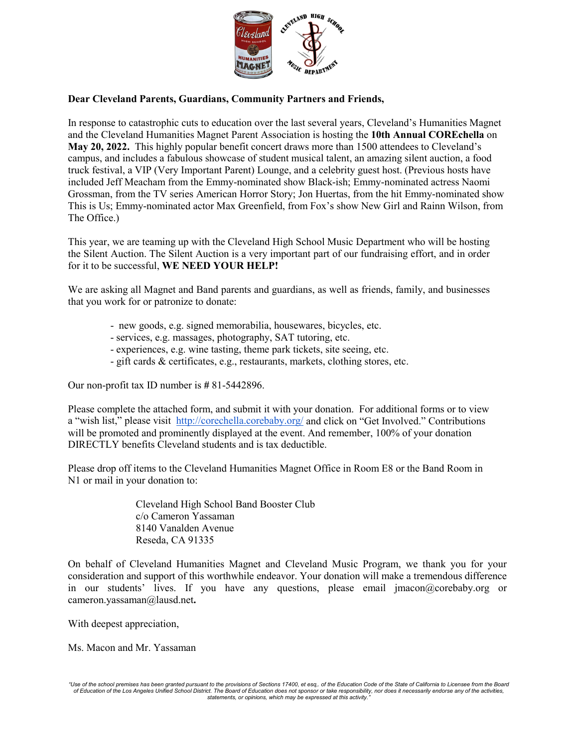

## **Dear Cleveland Parents, Guardians, Community Partners and Friends,**

In response to catastrophic cuts to education over the last several years, Cleveland's Humanities Magnet and the Cleveland Humanities Magnet Parent Association is hosting the **10th Annual COREchella** on **May 20, 2022.** This highly popular benefit concert draws more than 1500 attendees to Cleveland's campus, and includes a fabulous showcase of student musical talent, an amazing silent auction, a food truck festival, a VIP (Very Important Parent) Lounge, and a celebrity guest host. (Previous hosts have included Jeff Meacham from the Emmy-nominated show Black-ish; Emmy-nominated actress Naomi Grossman, from the TV series American Horror Story; Jon Huertas, from the hit Emmy-nominated show This is Us; Emmy-nominated actor Max Greenfield, from Fox's show New Girl and Rainn Wilson, from The Office.)

This year, we are teaming up with the Cleveland High School Music Department who will be hosting the Silent Auction. The Silent Auction is a very important part of our fundraising effort, and in order for it to be successful, **WE NEED YOUR HELP!**

We are asking all Magnet and Band parents and guardians, as well as friends, family, and businesses that you work for or patronize to donate:

- new goods, e.g. signed memorabilia, housewares, bicycles, etc.
- services, e.g. massages, photography, SAT tutoring, etc.
- experiences, e.g. wine tasting, theme park tickets, site seeing, etc.
- gift cards & certificates, e.g., restaurants, markets, clothing stores, etc.

Our non-profit tax ID number is **#** 81-5442896.

Please complete the attached form, and submit it with your donation. For additional forms or to view a "wish list," please visit <http://corechella.corebaby.org/>and click on "Get Involved." Contributions will be promoted and prominently displayed at the event. And remember, 100% of your donation DIRECTLY benefits Cleveland students and is tax deductible.

Please drop off items to the Cleveland Humanities Magnet Office in Room E8 or the Band Room in N1 or mail in your donation to:

> Cleveland High School Band Booster Club c/o Cameron Yassaman 8140 Vanalden Avenue Reseda, CA 91335

On behalf of Cleveland Humanities Magnet and Cleveland Music Program, we thank you for your consideration and support of this worthwhile endeavor. Your donation will make a tremendous difference in our students' lives. If you have any questions, please email jmacon@corebaby.org or cameron.yassaman@lausd.net**.**

With deepest appreciation,

Ms. Macon and Mr. Yassaman

*<sup>&</sup>quot;Use of the school premises has been granted pursuant to the provisions of Sections 17400, et esq,. of the Education Code of the State of California to Licensee from the Board of Education of the Los Angeles Unified School District. The Board of Education does not sponsor or take responsibility, nor does it necessarily endorse any of the activities, statements, or opinions, which may be expressed at this activity."*